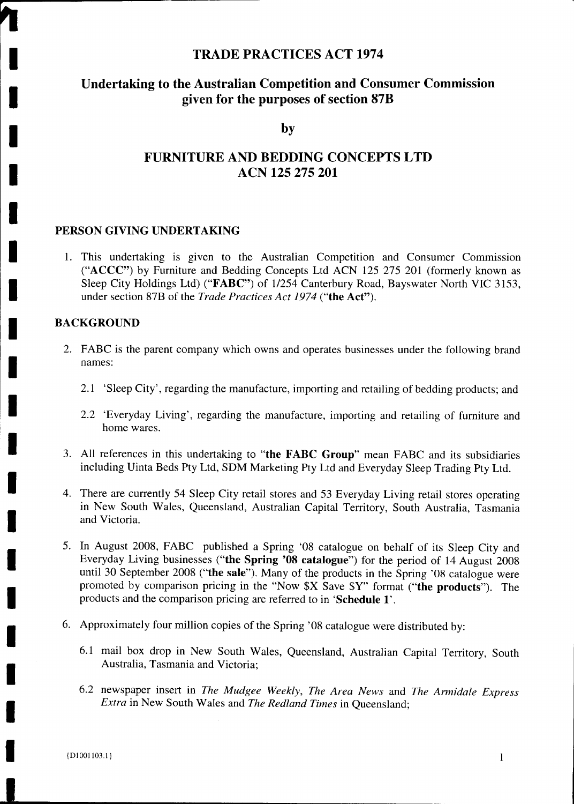#### **TRADE PRACTICES ACT 1974**

#### **Undertaking to the Australian Competition and Consumer Commission given for the purposes of section 87B**

**by**

#### **FURNITURE AND BEDDING CONCEPTS LTD ACN 125 275 201**

#### **PERSON GIVING UNDERTAKING**

1. This undertaking is given to the Australian Competition and Consumer Commission ("ACCC") by Furniture and Bedding Concepts Ltd ACN 125 275 201 (formerly known as Sleep City Holdings Ltd) ("FABC") of 1/254 Canterbury Road, Bayswater North VIC 3153, under section 87B of the *Trade Practices Act 1974* **("the Act").**

#### **BACKGROUND**

- 2. FABC is the parent company which owns and operates businesses under the following brand names:
	- 2.1 'Sleep City', regarding the manufacture, importing and retailing of bedding products; and
	- 2.2 'Everyday Living', regarding the manufacture, importing and retailing of furniture and home wares.
- 3. All references in this undertaking to **"the FABC Group"** mean FABC and its subsidiaries including Uinta Beds Pty Ltd, SDM Marketing Pty Ltd and Everyday Sleep Trading Pty Ltd.
- 4. There are currently 54 Sleep City retail stores and 53 Everyday Living retail stores operating in New South Wales, Queensland, Australian Capital Territory, South Australia, Tasmania and Victoria.
- 5. In August 2008, FABC published a Spring '08 catalogue on behalf of its Sleep City and Everyday Living businesses **("the Spring '08 catalogue")** for the period of 14 August 2008 until 30 September 2008 **("the sale").** Many of the products in the Spring '08 catalogue were promoted by comparison pricing in the "Now \$X Save \$Y" format **("the products").** The products and the comparison pricing are referred to in **'Schedule 1'.**
- 6. Approximately four million copies of the Spring '08 catalogue were distributed by:
	- 6.1 mail box drop in New South Wales, Queensland, Australian Capital Territory, South Australia, Tasmania and Victoria;
	- 6.2 newspaper insert in *The Mudgee Weekly, The Area News* and *The Armidale Express Extra* in New South Wales and *The Redland Times* in Queensland;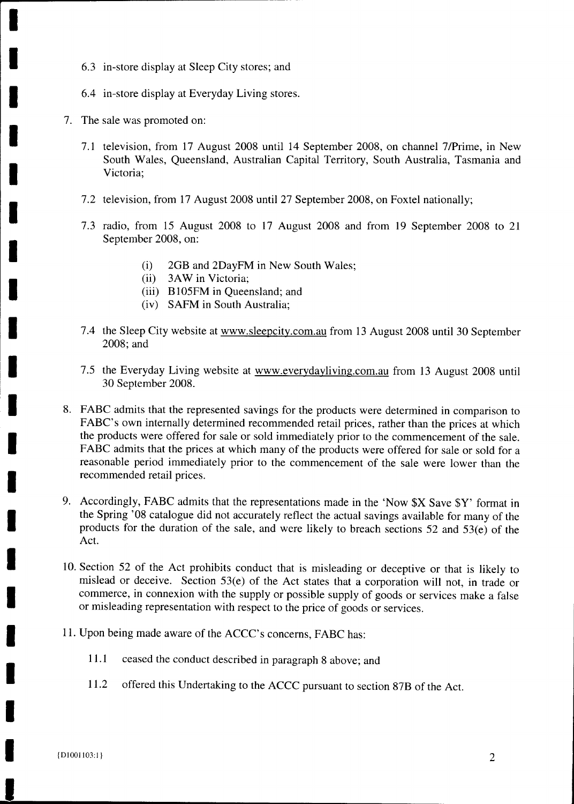- 6.3 in-store display at Sleep City stores; and
- 6.4 in-store display at Everyday Living stores.
- 7. The sale was promoted on:
	- 7.1 television, from 17 August 2008 until 14 September 2008, on channel 7/Prime, in New South Wales, Queensland, Australian Capital Territory, South Australia, Tasmania and Victoria;
	- 7.2 television, from 17 August 2008 until 27 September 2008, on Foxtel nationally;
	- 7.3 radio, from 15 August 2008 to 17 August 2008 and from 19 September 2008 to 21 September 2008, on:
		- (i) 2GB and 2DayFM in New South Wales;
		- (ii) 3AW in Victoria;
		- (iii) B105FM in Queensland; and
		- (iv) SAFM in South Australia;
	- 7.4 the Sleep City website at www.sleepcity.com.au from 13 August 2008 until 30 September 2008; and
	- 7.5 the Everyday Living website at www.everydayliving.com.au from 13 August 2008 until 30 September 2008.
- 8. FABC admits that the represented savings for the products were determined in comparison to FABC's own internally determined recommended retail prices, rather than the prices at which the products were offered for sale or sold immediately prior to the commencement of the sale. FABC admits that the prices at which many of the products were offered for sale or sold for a reasonable period immediately prior to the commencement of the sale were lower than the recommended retail prices.
- 9. Accordingly, FABC admits that the representations made in the 'Now \$X Save \$Y' format in the Spring '08 catalogue did not accurately reflect the actual savings available for many of the products for the duration of the sale, and were likely to breach sections 52 and 53(e) of the Act.
- 10. Section 52 of the Act prohibits conduct that is misleading or deceptive or that is likely to mislead or deceive. Section 53(e) of the Act states that a corporation will not, in trade or commerce, in connexion with the supply or possible supply of goods or services make a false or misleading representation with respect to the price of goods or services.
- 11. Upon being made aware of the ACCC's concerns, FABC has:
	- 11.1 ceased the conduct described in paragraph 8 above; and
	- 11.2 offered this Undertaking to the ACCC pursuant to section 87B of the Act.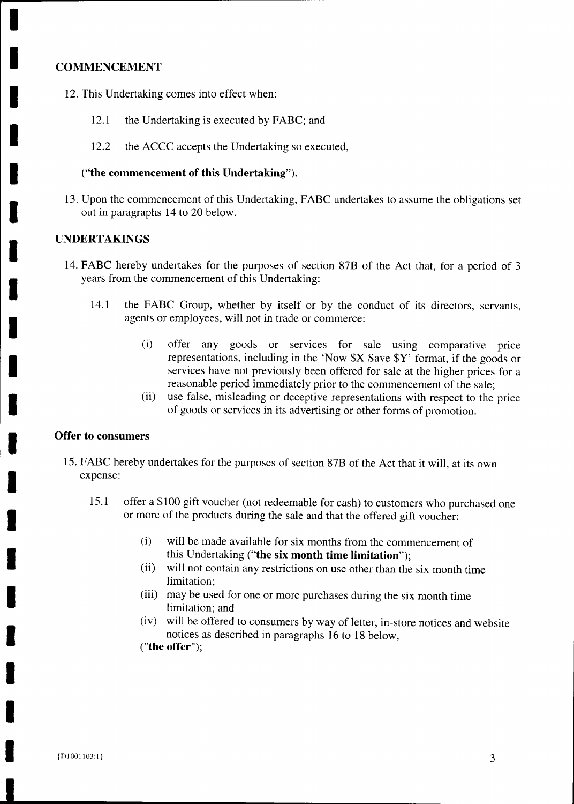#### **COMMENCEMENT**

**I**

**I**

**1**

**I**

**I**

**I**

**I**

**I**

**I**

**I**

**I**

**I**

**I**

**I**

**I**

**I**

**I**

- 12. This Undertaking comes into effect when:
	- 12.1 the Undertaking is executed by FABC; and
	- 12.2 the ACCC accepts the Undertaking so executed,

#### **("the commencement of this Undertaking").**

13. Upon the commencement of this Undertaking, FABC undertakes to assume the obligations set out in paragraphs 14 to 20 below.

#### **UNDERTAKINGS**

- 14. FABC hereby undertakes for the purposes of section 87B of the Act that, for a period of 3 years from the commencement of this Undertaking:
	- 14.1 the FABC Group, whether by itself or by the conduct of its directors, servants, agents or employees, will not in trade or commerce:
		- (i) offer any goods or services for sale using comparative price representations, including in the 'Now \$X Save \$Y' format, if the goods or services have not previously been offered for sale at the higher prices for a reasonable period immediately prior to the commencement of the sale;
		- (ii) use false, misleading or deceptive representations with respect to the price of goods or services in its advertising or other forms of promotion.

#### **Offer to consumers**

- 15. FABC hereby undertakes for the purposes of section 87B of the Act that it will, at its own expense:
	- 15.1 offer a \$100 gift voucher (not redeemable for cash) to customers who purchased one or more of the products during the sale and that the offered gift voucher:
		- (i) will be made available for six months from the commencement of this Undertaking **("the six month time limitation");**
		- (ii) will not contain any restrictions on use other than the six month time limitation;
		- (iii) may be used for one or more purchases during the six month time limitation; and
		- (iv) will be offered to consumers by way of letter, in-store notices and website notices as described in paragraphs 16 to 18 below,

**("the offer");**

**1**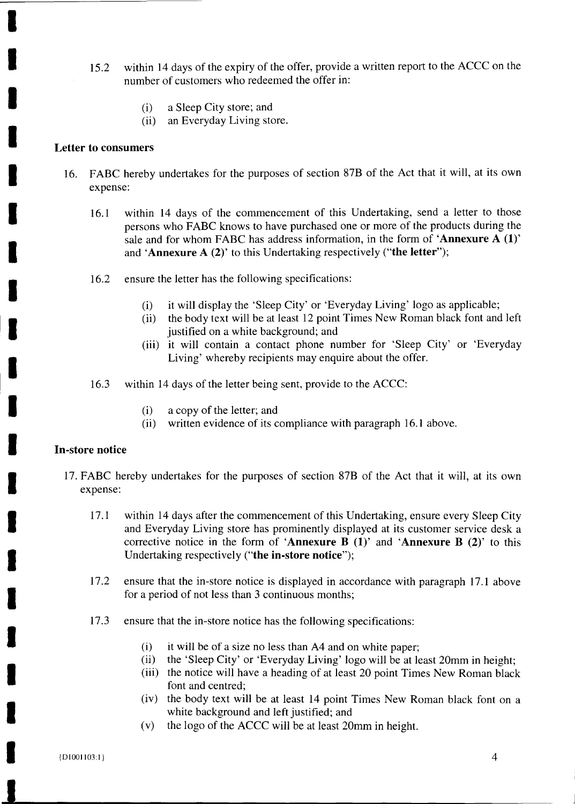- 15.2 within 14 days of the expiry of the offer, provide a written report to the ACCC on the number of customers who redeemed the offer in:
	- (i) a Sleep City store; and
	- (ii) an Everyday Living store.

#### **Letter to consumers**

- 16. FABC hereby undertakes for the purposes of section 87B of the Act that it will, at its own expense:
	- 16.1 within 14 days of the commencement of this Undertaking, send a letter to those persons who FABC knows to have purchased one or more of the products during the sale and for whom FABC has address information, in the form of 'Annexure A (1)' and **Annexure A (2)'** to this Undertaking respectively **("the letter");**
	- 16.2 ensure the letter has the following specifications:
		- (i) it will display the 'Sleep City' or 'Everyday Living' logo as applicable;
		- (ii) the body text will be at least 12 point Times New Roman black font and left justified on a white background; and
		- (iii) it will contain a contact phone number for 'Sleep City' or 'Everyday Living' whereby recipients may enquire about the offer.
	- 16.3 within 14 days of the letter being sent, provide to the ACCC:
		- (i) a copy of the letter; and
		- (ii) written evidence of its compliance with paragraph 16.1 above.

#### **In-store notice**

- 17. FABC hereby undertakes for the purposes of section 87B of the Act that it will, at its own expense:
	- 17.1 within 14 days after the commencement of this Undertaking, ensure every Sleep City and Everyday Living store has prominently displayed at its customer service desk a corrective notice in the form of **Annexure B** (1)' and **Annexure B** (2)' to this Undertaking respectively **("the in-store notice");**
	- 17.2 ensure that the in-store notice is displayed in accordance with paragraph 17.1 above for a period of not less than 3 continuous months;
	- 17.3 ensure that the in-store notice has the following specifications:
		- (i) it will be of a size no less than A4 and on white paper;
		- (ii) the 'Sleep City' or 'Everyday Living' logo will be at least 20mm in height;
		- (iii) the notice will have a heading of at least 20 point Times New Roman black font and centred;
		- (iv) the body text will be at least 14 point Times New Roman black font on a white background and left justified; and
		- (v) the logo of the ACCC will be at least 20mm in height.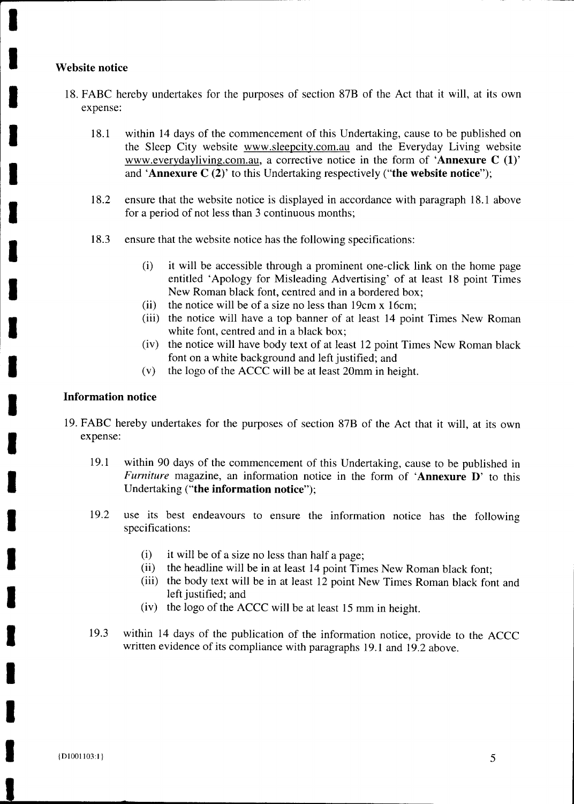#### **Website notice**

- 18. FABC hereby undertakes for the purposes of section 87B of the Act that it will, at its own expense:
	- 18.1 within 14 days of the commencement of this Undertaking, cause to be published on the Sleep City website www.sleepcity.com.au and the Everyday Living website www.everydayliving.com.au, a corrective notice in the form of **Annexure C (1)'** and **Annexure C (2)'** to this Undertaking respectively **("the website notice");**
	- 18.2 ensure that the website notice is displayed in accordance with paragraph 18.1 above for a period of not less than 3 continuous months;
	- 18.3 ensure that the website notice has the following specifications:
		- (i) it will be accessible through a prominent one-click link on the home page entitled 'Apology for Misleading Advertising' of at least 18 point Times New Roman black font, centred and in a bordered box;
		- (ii) the notice will be of a size no less than 19cm x 16cm;
		- (iii) the notice will have a top banner of at least 14 point Times New Roman white font, centred and in a black box;
		- (iv) the notice will have body text of at least 12 point Times New Roman black font on a white background and left justified; and
		- (v) the logo of the ACCC will be at least 20mm in height.

#### **Information notice**

- 19. FABC hereby undertakes for the purposes of section 87B of the Act that it will, at its own expense:
	- 19.1 within 90 days of the commencement of this Undertaking, cause to be published in *Furniture* magazine, an information notice in the form of **Annexure D'** to this Undertaking **("the information notice");**
	- 19.2 use its best endeavours to ensure the information notice has the following specifications:
		- (i) it will be of a size no less than half a page;
		- (ii) the headline will be in at least 14 point Times New Roman black font;
		- (iii) the body text will be in at least 12 point New Times Roman black font and left justified; and
		- (iv) the logo of the ACCC will be at least 15 mm in height.
	- 19.3 within 14 days of the publication of the information notice, provide to the ACCC written evidence of its compliance with paragraphs 19.1 and 19.2 above.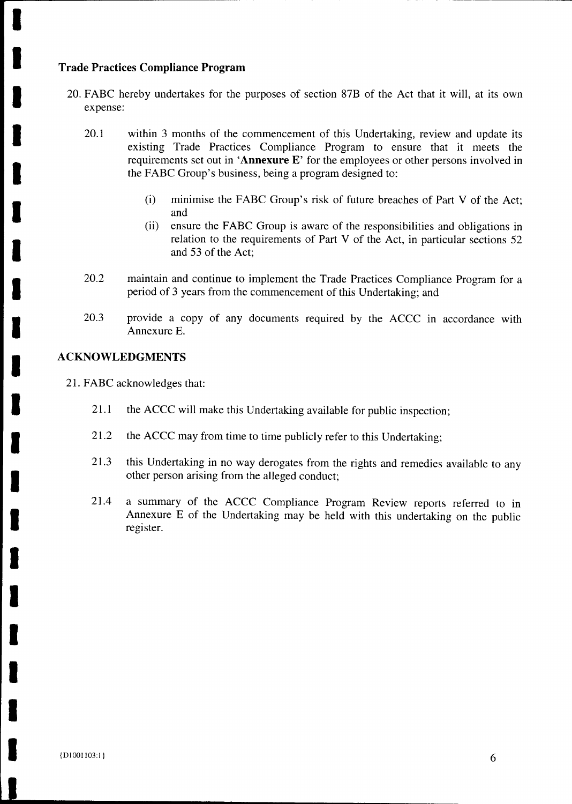#### **Trade Practices Compliance Program**

**I**

**I**

**1**

**I**

**I**

**I**

**I**

**I**

**I**

**I**

**I**

**I**

**I**

**I**

**I**

**1**

**I**

**1**

**I**

- 20. FABC hereby undertakes for the purposes of section 87B of the Act that it will, at its own expense:
	- 20.1 within 3 months of the commencement of this Undertaking, review and update its existing Trade Practices Compliance Program to ensure that it meets the requirements set out in **Annexure E'** for the employees or other persons involved in the FABC Group's business, being a program designed to:
		- (i) minimise the FABC Group's risk of future breaches of Part V of the Act; and
		- (ii) ensure the FABC Group is aware of the responsibilities and obligations in relation to the requirements of Part V of the Act, in particular sections 52 and 53 of the Act;
	- 20.2 maintain and continue to implement the Trade Practices Compliance Program for a period of 3 years from the commencement of this Undertaking; and
	- 20.3 provide a copy of any documents required by the ACCC in accordance with Annexure E.

#### **ACKNOWLEDGMENTS**

21. FABC acknowledges that:

- 21.1 the ACCC will make this Undertaking available for public inspection;
- 21.2 the ACCC may from time to time publicly refer to this Undertaking;
- 21.3 this Undertaking in no way derogates from the rights and remedies available to any other person arising from the alleged conduct;
- 21.4 a summary of the ACCC Compliance Program Review reports referred to in Annexure E of the Undertaking may be held with this undertaking on the public register.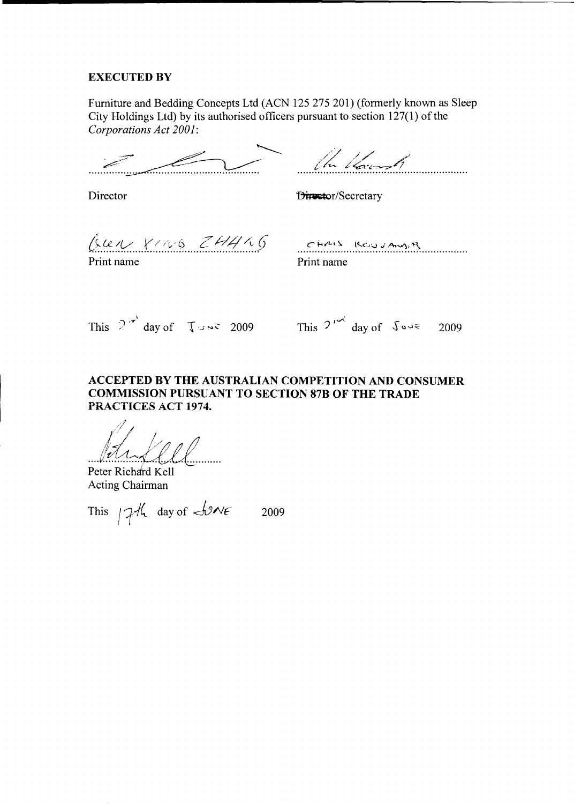#### **EXECUTED BY**

Furniture and Bedding Concepts Ltd (ACN 125 275 201) (formerly known as Sleep City Holdings Ltd) by its authorised officers pursuant to section 127(1) of the *Corporations Act 2001:*

In land

Director 13i: Pirector 13i: Pirector/Secretary

 $\hat{c}$ LEN  $\gamma$ 1/16  $ZH4$ 165 CHAIS ROUVAUSA

Print name

Print name

This  $2^{x^2}$  day of  $\int \sqrt{x^2} dx$  2009 This  $2^{x^2}$  day of  $\sqrt{2}x$  2009

#### **ACCEPTED BY THE AUSTRALIAN COMPETITION AND CONSUMER COMMISSION PURSUANT TO SECTION 87B OF THE TRADE PRACTICES ACT 1974.**

Peter Richard Kell Acting Chairman

This  $74$  day of  $49$ NE 2009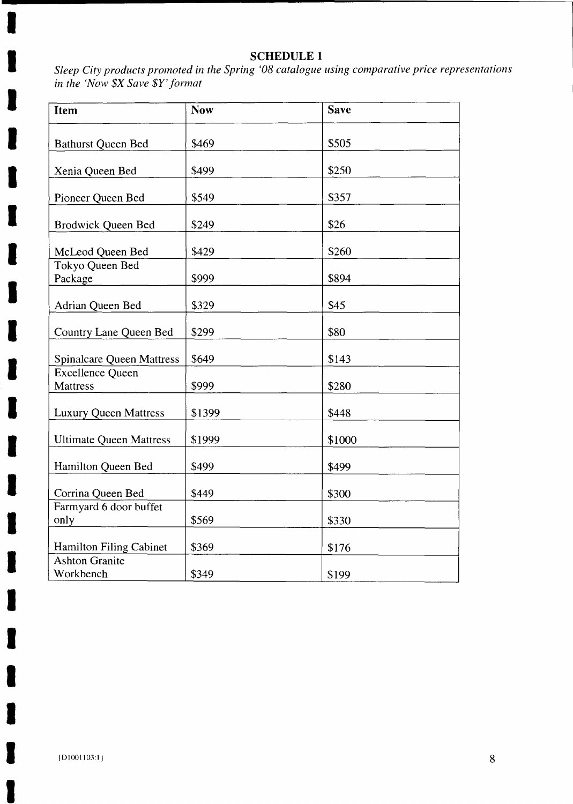#### **SCHEDULE 1**

*Sleep City products promoted in the Spring '08 catalogue using comparative price representations in the 'Now \$X Save* \$Y'format

| Item                                | <b>Now</b> | <b>Save</b> |
|-------------------------------------|------------|-------------|
|                                     | \$469      | \$505       |
| <b>Bathurst Queen Bed</b>           |            |             |
| Xenia Queen Bed                     | \$499      | \$250       |
| Pioneer Queen Bed                   | \$549      | \$357       |
| <b>Brodwick Queen Bed</b>           | \$249      | \$26        |
| McLeod Queen Bed                    | \$429      | \$260       |
| Tokyo Queen Bed<br>Package          | \$999      | \$894       |
|                                     |            |             |
| <b>Adrian Queen Bed</b>             | \$329      | \$45        |
| Country Lane Queen Bed              | \$299      | \$80        |
| <b>Spinalcare Queen Mattress</b>    | \$649      | \$143       |
| Excellence Queen<br><b>Mattress</b> | \$999      | \$280       |
| <b>Luxury Queen Mattress</b>        | \$1399     | \$448       |
| <b>Ultimate Queen Mattress</b>      | \$1999     | \$1000      |
| Hamilton Queen Bed                  | \$499      | \$499       |
| Corrina Queen Bed                   | \$449      | \$300       |
| Farmyard 6 door buffet              |            |             |
| only                                | \$569      | \$330       |
| Hamilton Filing Cabinet             | \$369      | \$176       |
| <b>Ashton Granite</b><br>Workbench  | \$349      | \$199       |

1

I

 $\blacksquare$ 

 $\blacksquare$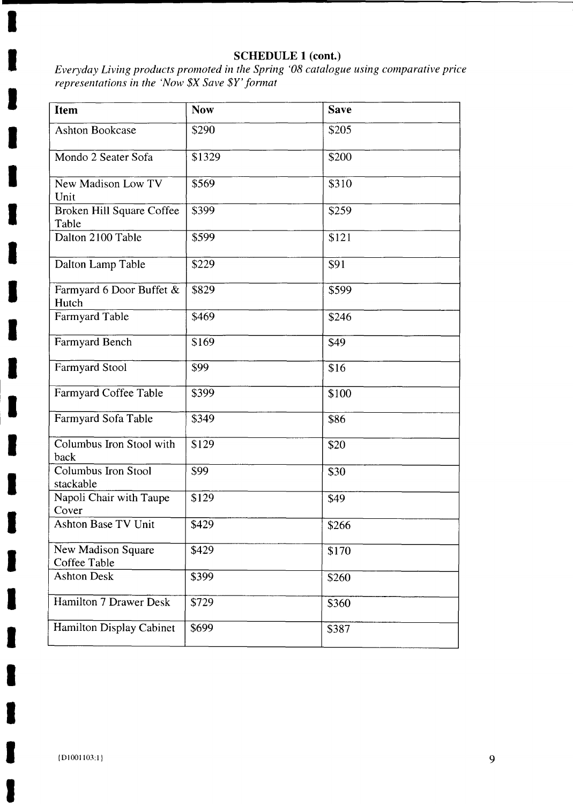#### SCHEDULE **1 (cont.)**

*Everyday Living products promoted in the Spring '08 catalogue using comparative price representations in the 'Now \$X Save \$Y' format*

| <b>Item</b>                        | <b>Now</b> | <b>Save</b> |
|------------------------------------|------------|-------------|
| <b>Ashton Bookcase</b>             | \$290      | \$205       |
| Mondo 2 Seater Sofa                | \$1329     | \$200       |
| New Madison Low TV<br>Unit         | \$569      | \$310       |
| Broken Hill Square Coffee<br>Table | \$399      | \$259       |
| Dalton 2100 Table                  | \$599      | \$121       |
| Dalton Lamp Table                  | \$229      | \$91        |
| Farmyard 6 Door Buffet &<br>Hutch  | \$829      | \$599       |
| Farmyard Table                     | \$469      | \$246       |
| Farmyard Bench                     | \$169      | \$49        |
| Farmyard Stool                     | \$99       | \$16        |
| Farmyard Coffee Table              | \$399      | \$100       |
| Farmyard Sofa Table                | \$349      | \$86        |
| Columbus Iron Stool with<br>back   | \$129      | \$20        |
| Columbus Iron Stool<br>stackable   | \$99       | \$30        |
| Napoli Chair with Taupe<br>Cover   | \$129      | \$49        |
| <b>Ashton Base TV Unit</b>         | \$429      | \$266       |
| New Madison Square<br>Coffee Table | \$429      | \$170       |
| <b>Ashton Desk</b>                 | \$399      | \$260       |
| Hamilton 7 Drawer Desk             | \$729      | \$360       |
| Hamilton Display Cabinet           | \$699      | \$387       |

a)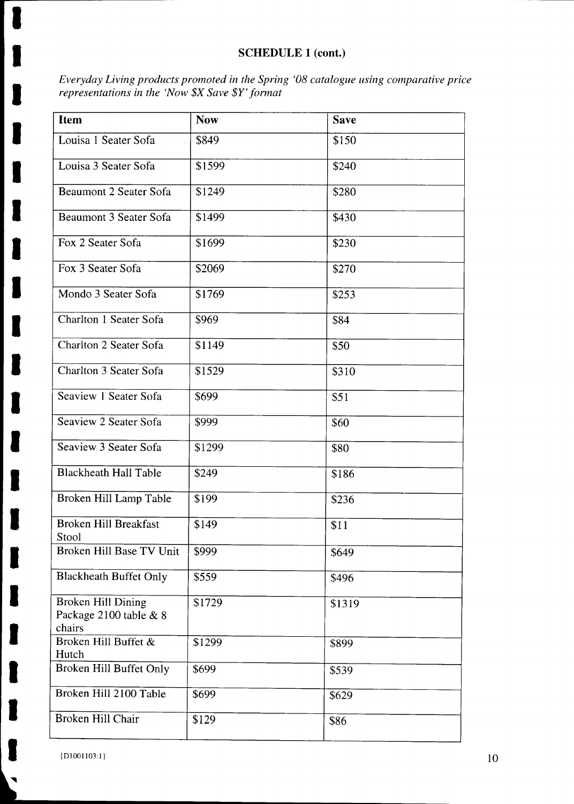#### SCHEDULE **1 (cont.)**

*Everyday Living products promoted in the Spring '08 catalogue using comparative price representations in the `Now \$X Save \$Y' format*

| <b>Item</b>                                            | <b>Now</b> | <b>Save</b> |
|--------------------------------------------------------|------------|-------------|
| Louisa 1 Seater Sofa                                   | \$849      | \$150       |
| Louisa 3 Seater Sofa                                   | \$1599     | \$240       |
| <b>Beaumont 2 Seater Sofa</b>                          | \$1249     | \$280       |
| Beaumont 3 Seater Sofa                                 | \$1499     | \$430       |
| Fox 2 Seater Sofa                                      | \$1699     | \$230       |
| Fox 3 Seater Sofa                                      | \$2069     | \$270       |
| Mondo 3 Seater Sofa                                    | \$1769     | \$253       |
| Charlton 1 Seater Sofa                                 | \$969      | \$84        |
| Charlton 2 Seater Sofa                                 | \$1149     | \$50        |
| Charlton 3 Seater Sofa                                 | \$1529     | \$310       |
| Seaview 1 Seater Sofa                                  | \$699      | \$51        |
| Seaview 2 Seater Sofa                                  | \$999      | \$60        |
| Seaview 3 Seater Sofa                                  | \$1299     | \$80        |
| <b>Blackheath Hall Table</b>                           | \$249      | \$186       |
| Broken Hill Lamp Table                                 | \$199      | \$236       |
| <b>Broken Hill Breakfast</b><br>Stool                  | \$149      | \$11        |
| Broken Hill Base TV Unit                               | \$999      | \$649       |
| <b>Blackheath Buffet Only</b>                          | \$559      | \$496       |
| Broken Hill Dining<br>Package 2100 table & 8<br>chairs | \$1729     | \$1319      |
| Broken Hill Buffet &<br>Hutch                          | \$1299     | \$899       |
| Broken Hill Buffet Only                                | \$699      | \$539       |
| Broken Hill 2100 Table                                 | \$699      | \$629       |
| Broken Hill Chair                                      | \$129      | \$86        |

{D1001103:1}

I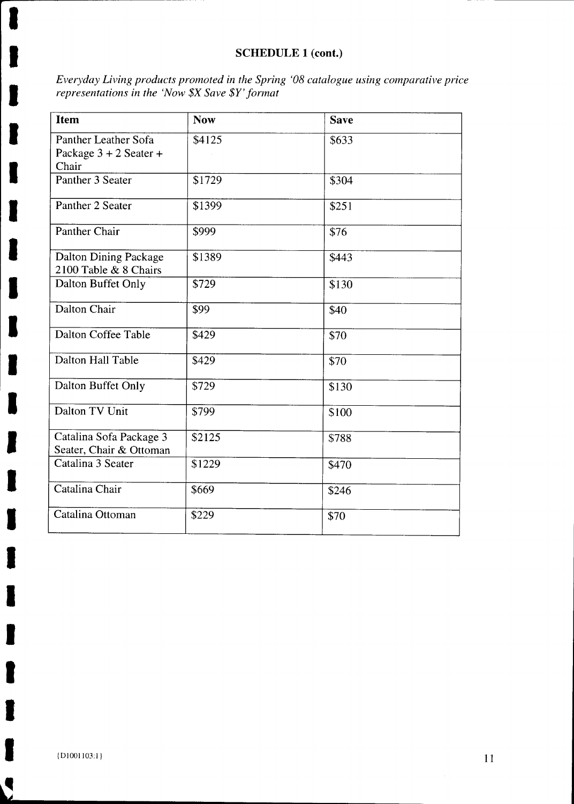#### **SCHEDULE 1 (cont.)**

*Everyday Living products promoted in the Spring '08 catalogue using comparative price representations in the 'Now \$X Save* \$11 ' *format*

| <b>Item</b>                                               | <b>Now</b> | <b>Save</b> |
|-----------------------------------------------------------|------------|-------------|
| Panther Leather Sofa<br>Package $3 + 2$ Seater +<br>Chair | \$4125     | \$633       |
| Panther 3 Seater                                          | \$1729     | \$304       |
| Panther 2 Seater                                          | \$1399     | \$251       |
| Panther Chair                                             | \$999      | \$76        |
| Dalton Dining Package<br>2100 Table & 8 Chairs            | \$1389     | \$443       |
| Dalton Buffet Only                                        | \$729      | \$130       |
| Dalton Chair                                              | \$99       | \$40        |
| Dalton Coffee Table                                       | \$429      | \$70        |
| Dalton Hall Table                                         | \$429      | \$70        |
| Dalton Buffet Only                                        | \$729      | \$130       |
| Dalton TV Unit                                            | \$799      | \$100       |
| Catalina Sofa Package 3<br>Seater, Chair & Ottoman        | \$2125     | \$788       |
| Catalina 3 Seater                                         | \$1229     | \$470       |
| Catalina Chair                                            | \$669      | \$246       |
| Catalina Ottoman                                          | \$229      | \$70        |

 $\blacksquare$ 

 $\overline{\phantom{a}}$ 

J

•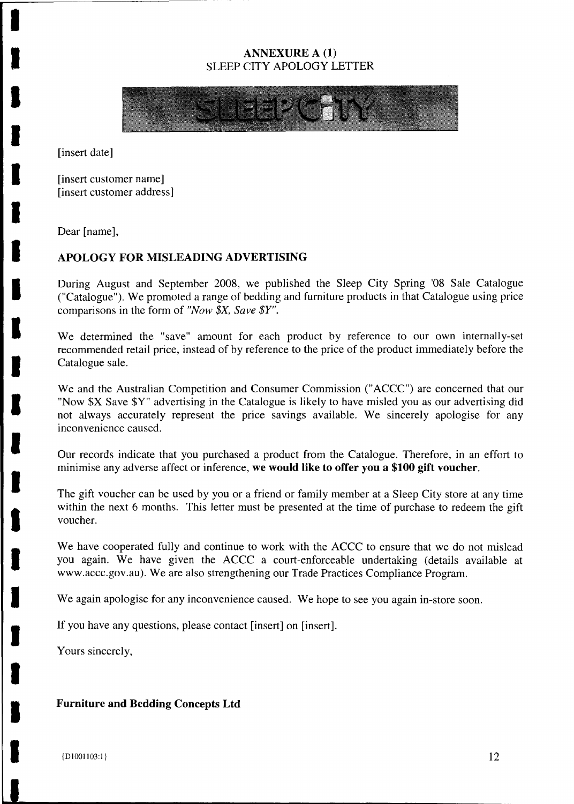#### **ANNEXURE A (1)** SLEEP CITY APOLOGY LETTER



[insert date]

[insert customer name] [insert customer address]

Dear [name],

#### **APOLOGY FOR MISLEADING ADVERTISING**

During August and September 2008, we published the Sleep City Spring '08 Sale Catalogue ("Catalogue"). We promoted a range of bedding and furniture products in that Catalogue using price comparisons in the form of *"Now \$X, Save* \$Y".

We determined the "save" amount for each product by reference to our own internally-set recommended retail price, instead of by reference to the price of the product immediately before the Catalogue sale.

We and the Australian Competition and Consumer Commission ("ACCC") are concerned that our "Now \$X Save \$Y" advertising in the Catalogue is likely to have misled you as our advertising did not always accurately represent the price savings available. We sincerely apologise for any inconvenience caused.

Our records indicate that you purchased a product from the Catalogue. Therefore, in an effort to minimise any adverse affect or inference, **we would like to offer you a \$100 gift voucher.**

The gift voucher can be used by you or a friend or family member at a Sleep City store at any time within the next 6 months. This letter must be presented at the time of purchase to redeem the gift voucher.

We have cooperated fully and continue to work with the ACCC to ensure that we do not mislead you again. We have given the ACCC a court-enforceable undertaking (details available at www.accc.gov.au). We are also strengthening our Trade Practices Compliance Program.

We again apologise for any inconvenience caused. We hope to see you again in-store soon.

If you have any questions, please contact [insert] on [insert].

Yours sincerely,

**Furniture and Bedding Concepts Ltd**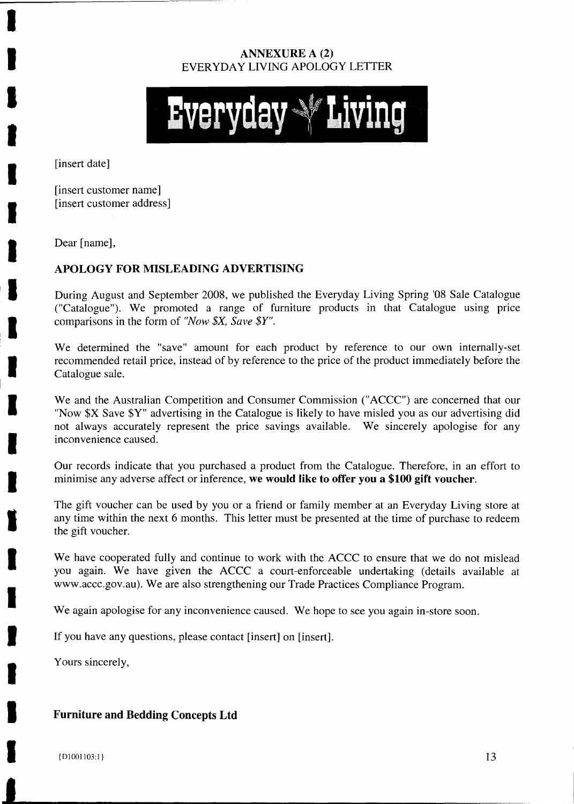#### **ANNEXURE A** (2) EVERYDAY LIVING APOLOGY LETTER



[insert date]

[insert customer name] [insert customer address]

Dear [name],

#### **APOLOGY FOR MISLEADING ADVERTISING**

During August and September 2008, we published the Everyday Living Spring '08 Sale Catalogue ("Catalogue"). We promoted a range of furniture products in that Catalogue using price comparisons in the form of *"Now \$X, Save \$Y".*

We determined the "save" amount for each product by reference to our own internally-set recommended retail price, instead of by reference to the price of the product immediately before the Catalogue sale.

We and the Australian Competition and Consumer Commission ("ACCC") are concerned that our "Now \$X Save \$Y" advertising in the Catalogue is likely to have misled you as our advertising did not always accurately represent the price savings available. We sincerely apologise for any inconvenience caused.

Our records indicate that you purchased a product from the Catalogue. Therefore, in an effort to minimise any adverse affect or inference, **we would like to offer you a \$100 gift voucher.**

The gift voucher can be used by you or a friend or family member at an Everyday Living store at any time within the next 6 months. This letter must be presented at the time of purchase to redeem the gift voucher.

We have cooperated fully and continue to work with the ACCC to ensure that we do not mislead you again. We have given the ACCC a court-enforceable undertaking (details available at www.accc.gov.au). We are also strengthening our Trade Practices Compliance Program.

We again apologise for any inconvenience caused. We hope to see you again in-store soon.

If you have any questions, please contact [insert] on [insert].

Yours sincerely,

#### **Furniture and Bedding Concepts Ltd**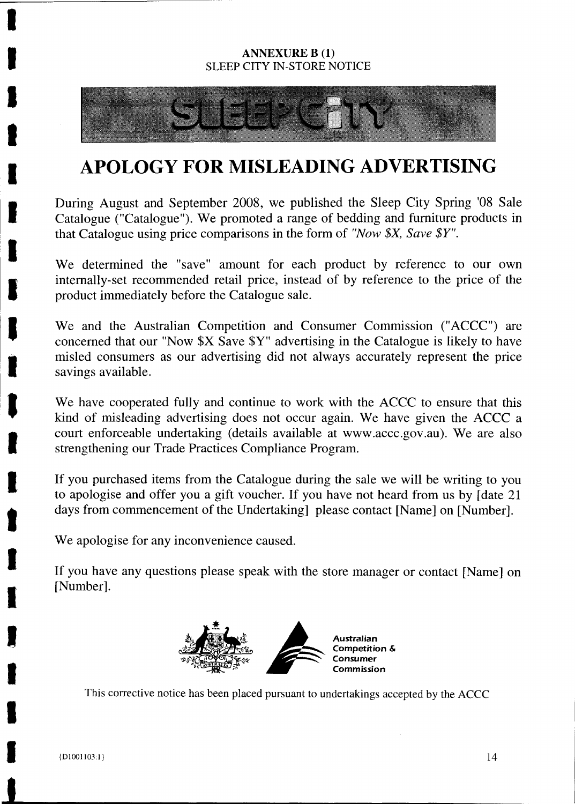#### **ANNEXURE B (1)** SLEEP CITY IN-STORE NOTICE



## **APOLOGY FOR MISLEADING ADVERTISING**

During August and September 2008, we published the Sleep City Spring '08 Sale Catalogue ("Catalogue"). We promoted a range of bedding and furniture products in that Catalogue using price comparisons in the form of *"Now \$X, Save \$Y".*

We determined the "save" amount for each product by reference to our own internally-set recommended retail price, instead of by reference to the price of the product immediately before the Catalogue sale.

We and the Australian Competition and Consumer Commission ("ACCC") are concerned that our "Now \$X Save \$Y" advertising in the Catalogue is likely to have misled consumers as our advertising did not always accurately represent the price savings available.

We have cooperated fully and continue to work with the ACCC to ensure that this kind of misleading advertising does not occur again. We have given the ACCC a court enforceable undertaking (details available at www.accc.gov.au). We are also strengthening our Trade Practices Compliance Program.

If you purchased items from the Catalogue during the sale we will be writing to you to apologise and offer you a gift voucher. If you have not heard from us by [date 21 days from commencement of the Undertaking] please contact [Name] on [Number].

We apologise for any inconvenience caused.

If you have any questions please speak with the store manager or contact [Name] on [Number].



This corrective notice has been placed pursuant to undertakings accepted by the ACCC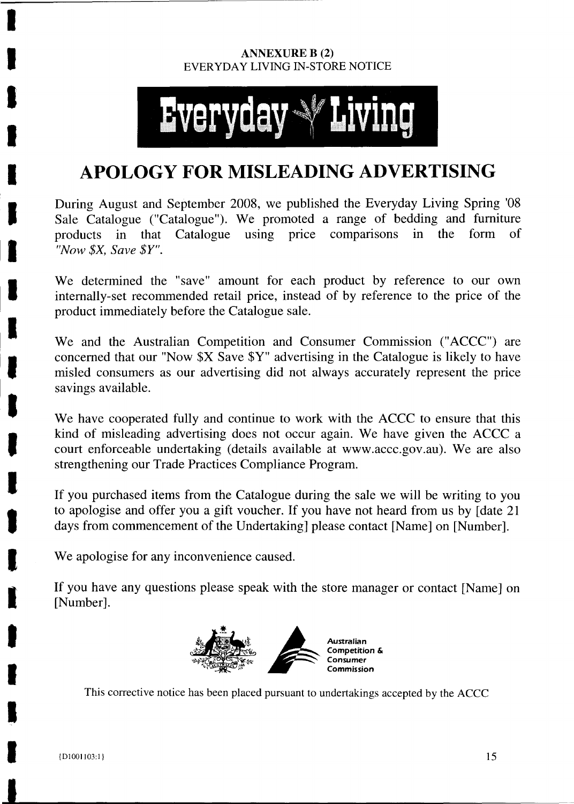#### **ANNEXURE B** (2) EVERYDAY LIVING IN-STORE NOTICE

# **Everyda**

## **APOLOGY FOR MISLEADING ADVERTISING**

During August and September 2008, we published the Everyday Living Spring '08 Sale Catalogue ("Catalogue"). We promoted a range of bedding and furniture products in that Catalogue using price comparisons in the form of *"Now \$X, Save* \$Y".

We determined the "save" amount for each product by reference to our own internally-set recommended retail price, instead of by reference to the price of the product immediately before the Catalogue sale.

We and the Australian Competition and Consumer Commission ("ACCC") are concerned that our "Now \$X Save \$Y" advertising in the Catalogue is likely to have misled consumers as our advertising did not always accurately represent the price savings available.

We have cooperated fully and continue to work with the ACCC to ensure that this kind of misleading advertising does not occur again. We have given the ACCC a court enforceable undertaking (details available at www.accc.gov.au). We are also strengthening our Trade Practices Compliance Program.

If you purchased items from the Catalogue during the sale we will be writing to you to apologise and offer you a gift voucher. If you have not heard from us by [date 21 days from commencement of the Undertaking] please contact [Name] on [Number].

We apologise for any inconvenience caused.

If you have any questions please speak with the store manager or contact [Name] on [Number].



This corrective notice has been placed pursuant to undertakings accepted by the ACCC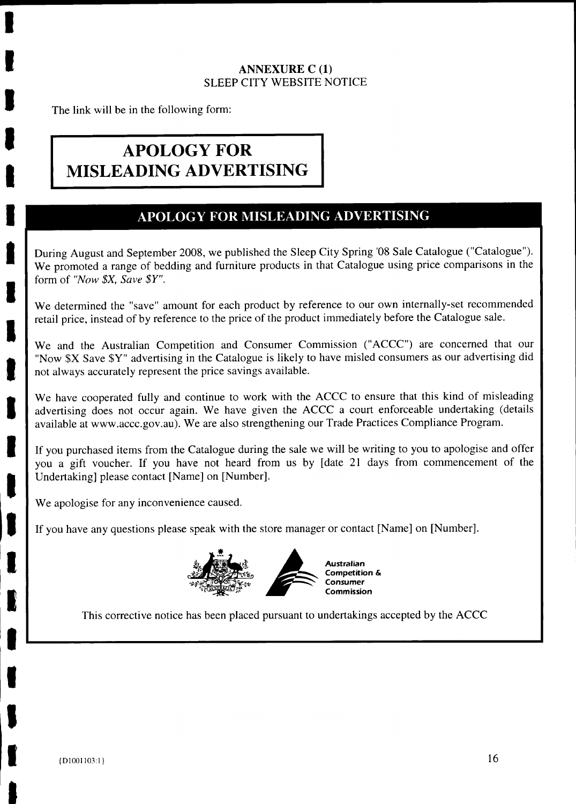#### **ANNEXURE C (1) SLEEP** CITY WEBSITE NOTICE

The link will be in the following form:

## **APOLOGY FOR MISLEADING ADVERTISING**

### **APOLOGY FOR MISLEADING ADVERTISING**

During August and September 2008, we published the Sleep City Spring '08 Sale Catalogue ("Catalogue"). We promoted a range of bedding and furniture products in that Catalogue using price comparisons in the form of *"Now \$X, Save* \$Y".

We determined the "save" amount for each product by reference to our own internally-set recommended retail price, instead of by reference to the price of the product immediately before the Catalogue sale.

We and the Australian Competition and Consumer Commission ("ACCC") are concerned that our "Now \$X Save \$Y" advertising in the Catalogue is likely to have misled consumers as our advertising did not always accurately represent the price savings available.

We have cooperated fully and continue to work with the ACCC to ensure that this kind of misleading advertising does not occur again. We have given the ACCC a court enforceable undertaking (details available at www.accc.gov.au). We are also strengthening our Trade Practices Compliance Program.

If you purchased items from the Catalogue during the sale we will be writing to you to apologise and offer you a gift voucher. If you have not heard from us by [date 21 days from commencement of the Undertaking] please contact [Name] on [Number].

We apologise for any inconvenience caused.

If you have any questions please speak with the store manager or contact [Name] on [Number].



This corrective notice has been placed pursuant to undertakings accepted by the ACCC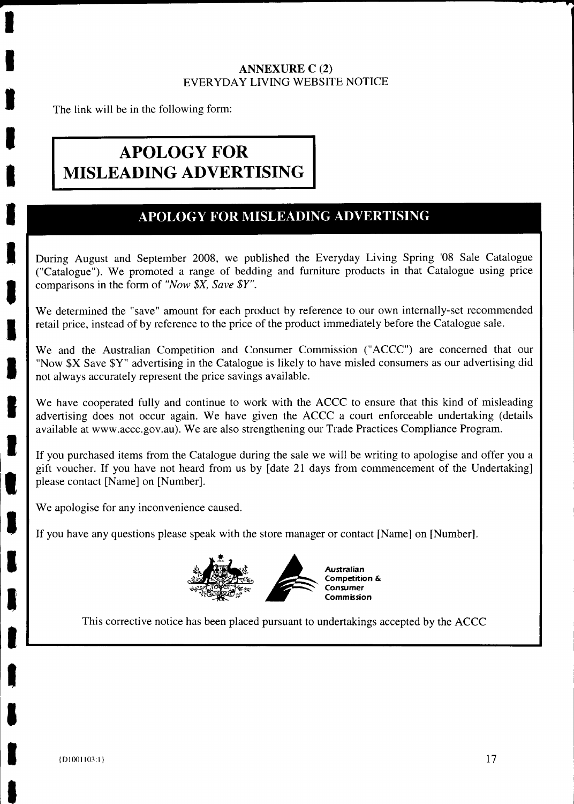#### **ANNEXURE C** (2) EVERYDAY LIVING WEBSITE NOTICE

The link will be in the following form:

## **APOLOGY FOR MISLEADING ADVERTISING**

## **APOLOGY FOR MISLEADING ADVERTISING**

During August and September 2008, we published the Everyday Living Spring '08 Sale Catalogue ("Catalogue"). We promoted a range of bedding and furniture products in that Catalogue using price comparisons in the form of *"Now \$X, Save* \$Y".

We determined the "save" amount for each product by reference to our own internally-set recommended retail price, instead of by reference to the price of the product immediately before the Catalogue sale.

We and the Australian Competition and Consumer Commission ("ACCC") are concerned that our "Now \$X Save \$Y" advertising in the Catalogue is likely to have misled consumers as our advertising did not always accurately represent the price savings available.

We have cooperated fully and continue to work with the ACCC to ensure that this kind of misleading advertising does not occur again. We have given the ACCC a court enforceable undertaking (details available at www.accc.gov.au). We are also strengthening our Trade Practices Compliance Program.

If you purchased items from the Catalogue during the sale we will be writing to apologise and offer you a gift voucher. If you have not heard from us by [date 21 days from commencement of the Undertaking] please contact [Name] on [Number].

We apologise for any inconvenience caused.

If you have any questions please speak with the store manager or contact [Name] on [Number].



This corrective notice has been placed pursuant to undertakings accepted by the ACCC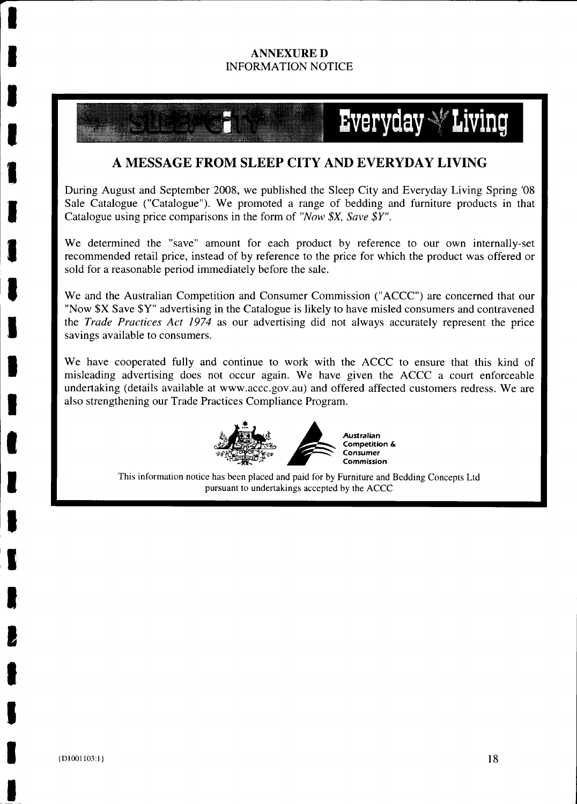#### **ANNEXURE D** INFORMATION NOTICE

## Everyday  $\mathbb {Y}$  Living

#### **A MESSAGE FROM SLEEP CITY AND EVERYDAY LIVING**

During August and September 2008, we published the Sleep City and Everyday Living Spring '08 Sale Catalogue ("Catalogue"). We promoted a range of bedding and furniture products in that Catalogue using price comparisons in the form of *"Now \$X, Save \$Y".*

We determined the "save" amount for each product by reference to our own internally-set recommended retail price, instead of by reference to the price for which the product was offered or sold for a reasonable period immediately before the sale.

We and the Australian Competition and Consumer Commission ("ACCC") are concerned that our "Now \$X Save \$Y" advertising in the Catalogue is likely to have misled consumers and contravened the *Trade Practices Act 1974* as our advertising did not always accurately represent the price savings available to consumers.

We have cooperated fully and continue to work with the ACCC to ensure that this kind of misleading advertising does not occur again. We have given the ACCC a court enforceable undertaking (details available at www.accc.gov.au) and offered affected customers redress. We are also strengthening our Trade Practices Compliance Program.



**Competition** & **Consumer Commission**

This information notice has been placed and paid for by Furniture and Bedding Concepts Ltd pursuant to undertakings accepted by the ACCC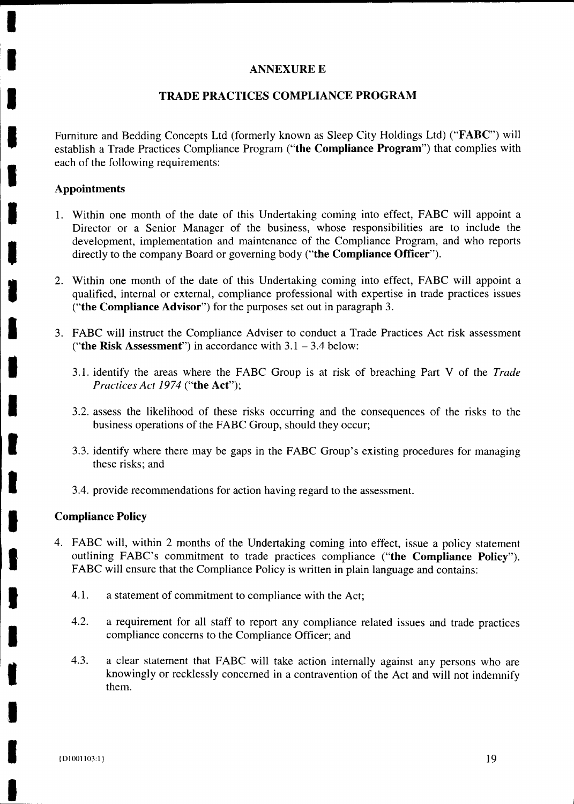#### **ANNEXURE E**

#### **TRADE PRACTICES COMPLIANCE PROGRAM**

Furniture and Bedding Concepts Ltd (formerly known as Sleep City Holdings Ltd) ("FABC") will establish a Trade Practices Compliance Program **("the Compliance Program")** that complies with each of the following requirements:

#### **Appointments**

- 1. Within one month of the date of this Undertaking coming into effect, FABC will appoint a Director or a Senior Manager of the business, whose responsibilities are to include the development, implementation and maintenance of the Compliance Program, and who reports directly to the company Board or governing body **("the Compliance Officer").**
- 2. Within one month of the date of this Undertaking coming into effect, FABC will appoint a qualified, internal or external, compliance professional with expertise in trade practices issues **("the Compliance Advisor")** for the purposes set out in paragraph 3.
- 3. FABC will instruct the Compliance Adviser to conduct a Trade Practices Act risk assessment **("the Risk Assessment")** in accordance with 3.1 — 3.4 below:
	- 3.1. identify the areas where the FABC Group is at risk of breaching Part V of the *Trade Practices Act 1974* **("the Act");**
	- 3.2. assess the likelihood of these risks occurring and the consequences of the risks to the business operations of the FABC Group, should they occur;
	- 3.3. identify where there may be gaps in the FABC Group's existing procedures for managing these risks; and
	- 3.4. provide recommendations for action having regard to the assessment.

#### **Compliance Policy**

- 4. FABC will, within 2 months of the Undertaking coming into effect, issue a policy statement outlining FABC's commitment to trade practices compliance **("the Compliance Policy").** FABC will ensure that the Compliance Policy is written in plain language and contains:
	- 4.1. a statement of commitment to compliance with the Act;
	- 4.2. a requirement for all staff to report any compliance related issues and trade practices compliance concerns to the Compliance Officer; and
	- 4.3. a clear statement that FABC will take action internally against any persons who are knowingly or recklessly concerned in a contravention of the Act and will not indemnify them.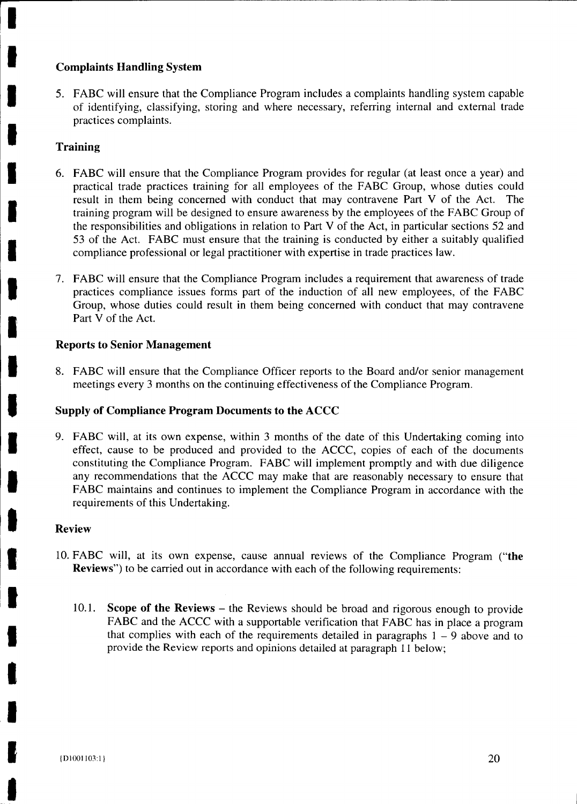#### **Complaints Handling System**

5. FABC will ensure that the Compliance Program includes a complaints handling system capable of identifying, classifying, storing and where necessary, referring internal and external trade practices complaints.

#### **Training**

- 6. FABC will ensure that the Compliance Program provides for regular (at least once a year) and practical trade practices training for all employees of the FABC Group, whose duties could result in them being concerned with conduct that may contravene Part V of the Act. The training program will be designed to ensure awareness by the employees of the FABC Group of the responsibilities and obligations in relation to Part V of the Act, in particular sections 52 and 53 of the Act. FABC must ensure that the training is conducted by either a suitably qualified compliance professional or legal practitioner with expertise in trade practices law.
- 7. FABC will ensure that the Compliance Program includes a requirement that awareness of trade practices compliance issues forms part of the induction of all new employees, of the FABC Group, whose duties could result in them being concerned with conduct that may contravene Part V of the Act.

#### **Reports to Senior Management**

8. FABC will ensure that the Compliance Officer reports to the Board and/or senior management meetings every 3 months on the continuing effectiveness of the Compliance Program.

#### **Supply of Compliance Program Documents to the ACCC**

9. FABC will, at its own expense, within 3 months of the date of this Undertaking coming into effect, cause to be produced and provided to the ACCC, copies of each of the documents constituting the Compliance Program. FABC will implement promptly and with due diligence any recommendations that the ACCC may make that are reasonably necessary to ensure that FABC maintains and continues to implement the Compliance Program in accordance with the requirements of this Undertaking.

#### **Review**

- 10. FABC will, at its own expense, cause annual reviews of the Compliance Program **("the Reviews")** to be carried out in accordance with each of the following requirements:
	- 10.1. **Scope of the Reviews** the Reviews should be broad and rigorous enough to provide FABC and the ACCC with a supportable verification that FABC has in place a program that complies with each of the requirements detailed in paragraphs  $1 - 9$  above and to provide the Review reports and opinions detailed at paragraph 11 below;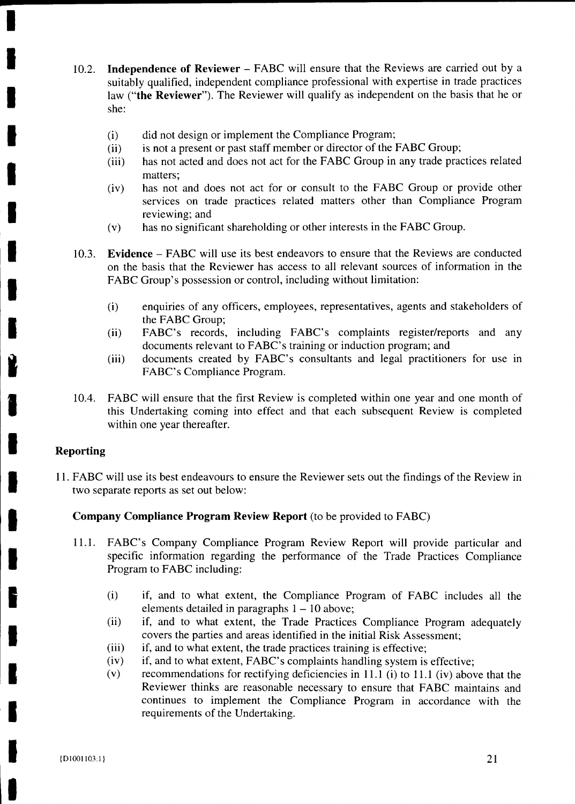- 10.2. **Independence of Reviewer** FABC will ensure that the Reviews are carried out by a suitably qualified, independent compliance professional with expertise in trade practices law **("the Reviewer").** The Reviewer will qualify as independent on the basis that he or she:
	- (i) did not design or implement the Compliance Program;
	- (ii) is not a present or past staff member or director of the FABC Group;
	- (iii) has not acted and does not act for the FABC Group in any trade practices related matters;
	- (iv) has not and does not act for or consult to the FABC Group or provide other services on trade practices related matters other than Compliance Program reviewing; and
	- (v) has no significant shareholding or other interests in the FABC Group.
- 10.3. **Evidence** FABC will use its best endeavors to ensure that the Reviews are conducted on the basis that the Reviewer has access to all relevant sources of information in the FABC Group's possession or control, including without limitation:
	- (i) enquiries of any officers, employees, representatives, agents and stakeholders of the FABC Group;
	- **(ii) FABC's** records, including FABC's complaints register/reports and any documents relevant to FABC's training or induction program; and
	- (iii) documents created by FABC's consultants and legal practitioners for use in FABC's Compliance Program.
- 10.4. FABC will ensure that the first Review is completed within one year and one month of this Undertaking coming into effect and that each subsequent Review is completed within one year thereafter.

#### **Reporting**

11. FABC will use its best endeavours to ensure the Reviewer sets out the findings of the Review in two separate reports as set out below:

#### **Company Compliance Program Review Report** (to be provided to FABC)

- 11.1. FABC's Company Compliance Program Review Report will provide particular and specific information regarding the performance of the Trade Practices Compliance Program to FABC including:
	- (i) if, and to what extent, the Compliance Program of FABC includes all the elements detailed in paragraphs  $1 - 10$  above;
	- (ii) if, and to what extent, the Trade Practices Compliance Program adequately covers the parties and areas identified in the initial Risk Assessment;
	- (iii) if, and to what extent, the trade practices training is effective;
	- (iv) if, and to what extent, FABC's complaints handling system is effective;
	- (v) recommendations for rectifying deficiencies in 11.1 (i) to 11.1 (iv) above that the Reviewer thinks are reasonable necessary to ensure that FABC maintains and continues to implement the Compliance Program in accordance with the requirements of the Undertaking.